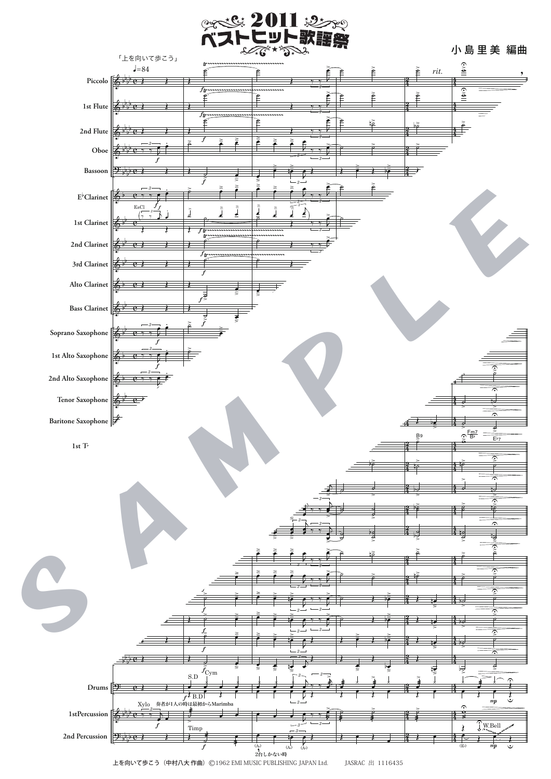